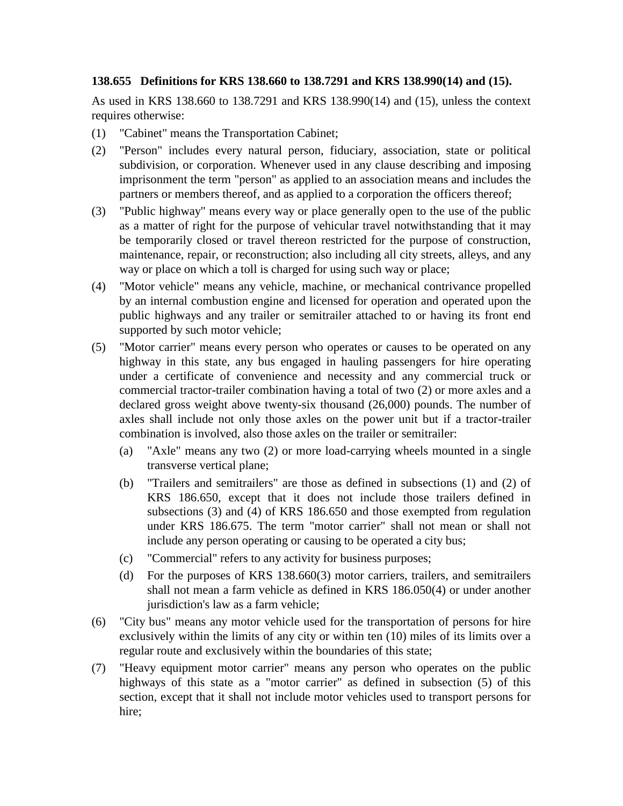## **138.655 Definitions for KRS 138.660 to 138.7291 and KRS 138.990(14) and (15).**

As used in KRS 138.660 to 138.7291 and KRS 138.990(14) and (15), unless the context requires otherwise:

- (1) "Cabinet" means the Transportation Cabinet;
- (2) "Person" includes every natural person, fiduciary, association, state or political subdivision, or corporation. Whenever used in any clause describing and imposing imprisonment the term "person" as applied to an association means and includes the partners or members thereof, and as applied to a corporation the officers thereof;
- (3) "Public highway" means every way or place generally open to the use of the public as a matter of right for the purpose of vehicular travel notwithstanding that it may be temporarily closed or travel thereon restricted for the purpose of construction, maintenance, repair, or reconstruction; also including all city streets, alleys, and any way or place on which a toll is charged for using such way or place;
- (4) "Motor vehicle" means any vehicle, machine, or mechanical contrivance propelled by an internal combustion engine and licensed for operation and operated upon the public highways and any trailer or semitrailer attached to or having its front end supported by such motor vehicle;
- (5) "Motor carrier" means every person who operates or causes to be operated on any highway in this state, any bus engaged in hauling passengers for hire operating under a certificate of convenience and necessity and any commercial truck or commercial tractor-trailer combination having a total of two (2) or more axles and a declared gross weight above twenty-six thousand (26,000) pounds. The number of axles shall include not only those axles on the power unit but if a tractor-trailer combination is involved, also those axles on the trailer or semitrailer:
	- (a) "Axle" means any two (2) or more load-carrying wheels mounted in a single transverse vertical plane;
	- (b) "Trailers and semitrailers" are those as defined in subsections (1) and (2) of KRS 186.650, except that it does not include those trailers defined in subsections (3) and (4) of KRS 186.650 and those exempted from regulation under KRS 186.675. The term "motor carrier" shall not mean or shall not include any person operating or causing to be operated a city bus;
	- (c) "Commercial" refers to any activity for business purposes;
	- (d) For the purposes of KRS 138.660(3) motor carriers, trailers, and semitrailers shall not mean a farm vehicle as defined in KRS 186.050(4) or under another jurisdiction's law as a farm vehicle;
- (6) "City bus" means any motor vehicle used for the transportation of persons for hire exclusively within the limits of any city or within ten (10) miles of its limits over a regular route and exclusively within the boundaries of this state;
- (7) "Heavy equipment motor carrier" means any person who operates on the public highways of this state as a "motor carrier" as defined in subsection (5) of this section, except that it shall not include motor vehicles used to transport persons for hire;